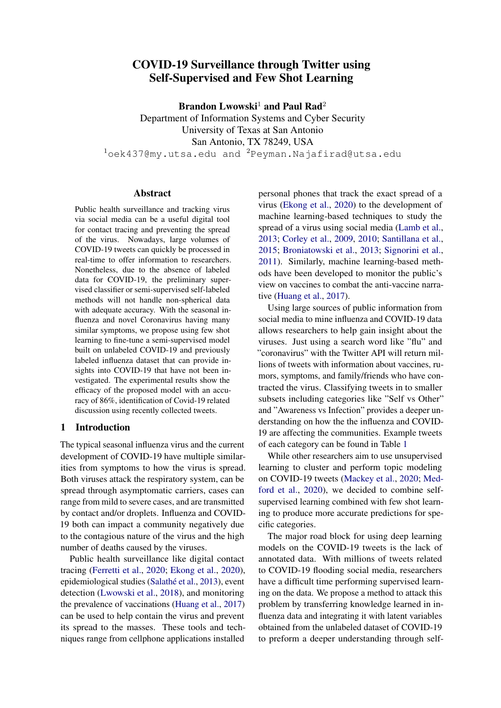# COVID-19 Surveillance through Twitter using Self-Supervised and Few Shot Learning

Brandon Lwowski<sup>1</sup> and Paul Rad<sup>2</sup>

Department of Information Systems and Cyber Security University of Texas at San Antonio San Antonio, TX 78249, USA  $1$ oek437@my.utsa.edu and  $2$ Peyman.Najafirad@utsa.edu

#### Abstract

Public health surveillance and tracking virus via social media can be a useful digital tool for contact tracing and preventing the spread of the virus. Nowadays, large volumes of COVID-19 tweets can quickly be processed in real-time to offer information to researchers. Nonetheless, due to the absence of labeled data for COVID-19, the preliminary supervised classifier or semi-supervised self-labeled methods will not handle non-spherical data with adequate accuracy. With the seasonal influenza and novel Coronavirus having many similar symptoms, we propose using few shot learning to fine-tune a semi-supervised model built on unlabeled COVID-19 and previously labeled influenza dataset that can provide insights into COVID-19 that have not been investigated. The experimental results show the efficacy of the proposed model with an accuracy of 86%, identification of Covid-19 related discussion using recently collected tweets.

# 1 Introduction

The typical seasonal influenza virus and the current development of COVID-19 have multiple similarities from symptoms to how the virus is spread. Both viruses attack the respiratory system, can be spread through asymptomatic carriers, cases can range from mild to severe cases, and are transmitted by contact and/or droplets. Influenza and COVID-19 both can impact a community negatively due to the contagious nature of the virus and the high number of deaths caused by the viruses.

Public health surveillance like digital contact tracing [\(Ferretti et al.,](#page-6-0) [2020;](#page-6-0) [Ekong et al.,](#page-6-1) [2020\)](#page-6-1), epidemiological studies (Salathé et al., [2013\)](#page-7-0), event detection [\(Lwowski et al.,](#page-7-1) [2018\)](#page-7-1), and monitoring the prevalence of vaccinations [\(Huang et al.,](#page-6-2) [2017\)](#page-6-2) can be used to help contain the virus and prevent its spread to the masses. These tools and techniques range from cellphone applications installed

personal phones that track the exact spread of a virus [\(Ekong et al.,](#page-6-1) [2020\)](#page-6-1) to the development of machine learning-based techniques to study the spread of a virus using social media [\(Lamb et al.,](#page-7-2) [2013;](#page-7-2) [Corley et al.,](#page-6-3) [2009,](#page-6-3) [2010;](#page-6-4) [Santillana et al.,](#page-7-3) [2015;](#page-7-3) [Broniatowski et al.,](#page-6-5) [2013;](#page-6-5) [Signorini et al.,](#page-7-4) [2011\)](#page-7-4). Similarly, machine learning-based methods have been developed to monitor the public's view on vaccines to combat the anti-vaccine narrative [\(Huang et al.,](#page-6-2) [2017\)](#page-6-2).

Using large sources of public information from social media to mine influenza and COVID-19 data allows researchers to help gain insight about the viruses. Just using a search word like "flu" and "coronavirus" with the Twitter API will return millions of tweets with information about vaccines, rumors, symptoms, and family/friends who have contracted the virus. Classifying tweets in to smaller subsets including categories like "Self vs Other" and "Awareness vs Infection" provides a deeper understanding on how the the influenza and COVID-19 are affecting the communities. Example tweets of each category can be found in Table [1](#page-1-0)

While other researchers aim to use unsupervised learning to cluster and perform topic modeling on COVID-19 tweets [\(Mackey et al.,](#page-7-5) [2020;](#page-7-5) [Med](#page-7-6)[ford et al.,](#page-7-6) [2020\)](#page-7-6), we decided to combine selfsupervised learning combined with few shot learning to produce more accurate predictions for specific categories.

The major road block for using deep learning models on the COVID-19 tweets is the lack of annotated data. With millions of tweets related to COVID-19 flooding social media, researchers have a difficult time performing supervised learning on the data. We propose a method to attack this problem by transferring knowledge learned in influenza data and integrating it with latent variables obtained from the unlabeled dataset of COVID-19 to preform a deeper understanding through self-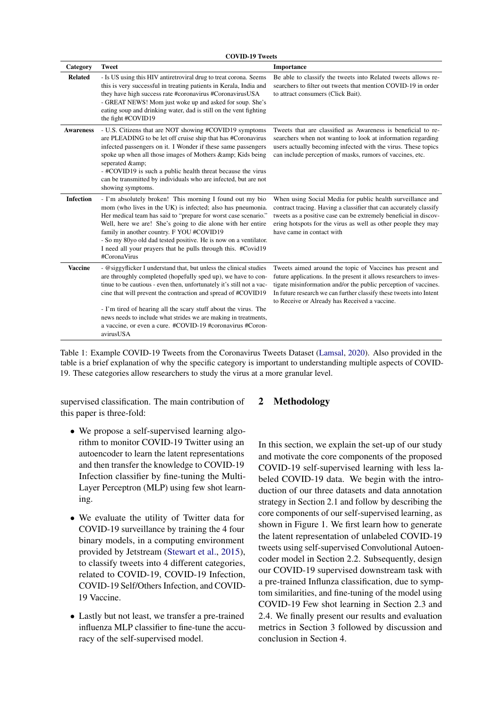<span id="page-1-0"></span>

| Category         | <b>Tweet</b>                                                                                                                                                                                                                                                                                                                                                                                                                                                                                 | Importance                                                                                                                                                                                                                                                                                                                  |
|------------------|----------------------------------------------------------------------------------------------------------------------------------------------------------------------------------------------------------------------------------------------------------------------------------------------------------------------------------------------------------------------------------------------------------------------------------------------------------------------------------------------|-----------------------------------------------------------------------------------------------------------------------------------------------------------------------------------------------------------------------------------------------------------------------------------------------------------------------------|
| <b>Related</b>   | - Is US using this HIV antiretroviral drug to treat corona. Seems<br>this is very successful in treating patients in Kerala, India and<br>they have high success rate #coronavirus #CoronavirusUSA<br>- GREAT NEWS! Mom just woke up and asked for soup. She's<br>eating soup and drinking water, dad is still on the vent fighting<br>the fight #COVID19                                                                                                                                    | Be able to classify the tweets into Related tweets allows re-<br>searchers to filter out tweets that mention COVID-19 in order<br>to attract consumers (Click Bait).                                                                                                                                                        |
| <b>Awareness</b> | - U.S. Citizens that are NOT showing #COVID19 symptoms<br>are PLEADING to be let off cruise ship that has #Coronavirus<br>infected passengers on it. I Wonder if these same passengers<br>spoke up when all those images of Mothers & amp; Kids being<br>seperated &<br>- #COVID19 is such a public health threat because the virus<br>can be transmitted by individuals who are infected, but are not<br>showing symptoms.                                                                  | Tweets that are classified as Awareness is beneficial to re-<br>searchers when not wanting to look at information regarding<br>users actually becoming infected with the virus. These topics<br>can include perception of masks, rumors of vaccines, etc.                                                                   |
| <b>Infection</b> | - I'm absolutely broken! This morning I found out my bio<br>mom (who lives in the UK) is infected; also has pneumonia.<br>Her medical team has said to "prepare for worst case scenario."<br>Well, here we are! She's going to die alone with her entire<br>family in another country. F YOU #COVID19<br>- So my 80yo old dad tested positive. He is now on a ventilator.<br>I need all your prayers that he pulls through this. #Covid19<br>#CoronaVirus                                    | When using Social Media for public health surveillance and<br>contract tracing. Having a classifier that can accurately classify<br>tweets as a positive case can be extremely beneficial in discov-<br>ering hotspots for the virus as well as other people they may<br>have came in contact with                          |
| <b>Vaccine</b>   | - @siggyflicker I understand that, but unless the clinical studies<br>are throughly completed (hopefully sped up), we have to con-<br>tinue to be cautious - even then, unfortunately it's still not a vac-<br>cine that will prevent the contraction and spread of #COVID19<br>- I'm tired of hearing all the scary stuff about the virus. The<br>news needs to include what strides we are making in treatments,<br>a vaccine, or even a cure. #COVID-19 #coronavirus #Coron-<br>avirusUSA | Tweets aimed around the topic of Vaccines has present and<br>future applications. In the present it allows researchers to inves-<br>tigate misinformation and/or the public perception of vaccines.<br>In future research we can further classify these tweets into Intent<br>to Receive or Already has Received a vaccine. |

COVID-10 Tweets

Table 1: Example COVID-19 Tweets from the Coronavirus Tweets Dataset [\(Lamsal,](#page-7-7) [2020\)](#page-7-7). Also provided in the table is a brief explanation of why the specific category is important to understanding multiple aspects of COVID-19. These categories allow researchers to study the virus at a more granular level.

supervised classification. The main contribution of this paper is three-fold:

- We propose a self-supervised learning algorithm to monitor COVID-19 Twitter using an autoencoder to learn the latent representations and then transfer the knowledge to COVID-19 Infection classifier by fine-tuning the Multi-Layer Perceptron (MLP) using few shot learning.
- We evaluate the utility of Twitter data for COVID-19 surveillance by training the 4 four binary models, in a computing environment provided by Jetstream [\(Stewart et al.,](#page-7-8) [2015\)](#page-7-8), to classify tweets into 4 different categories, related to COVID-19, COVID-19 Infection, COVID-19 Self/Others Infection, and COVID-19 Vaccine.
- Lastly but not least, we transfer a pre-trained influenza MLP classifier to fine-tune the accuracy of the self-supervised model.

# 2 Methodology

In this section, we explain the set-up of our study and motivate the core components of the proposed COVID-19 self-supervised learning with less labeled COVID-19 data. We begin with the introduction of our three datasets and data annotation strategy in Section 2.1 and follow by describing the core components of our self-supervised learning, as shown in Figure 1. We first learn how to generate the latent representation of unlabeled COVID-19 tweets using self-supervised Convolutional Autoencoder model in Section 2.2. Subsequently, design our COVID-19 supervised downstream task with a pre-trained Influnza classification, due to symptom similarities, and fine-tuning of the model using COVID-19 Few shot learning in Section 2.3 and 2.4. We finally present our results and evaluation metrics in Section 3 followed by discussion and conclusion in Section 4.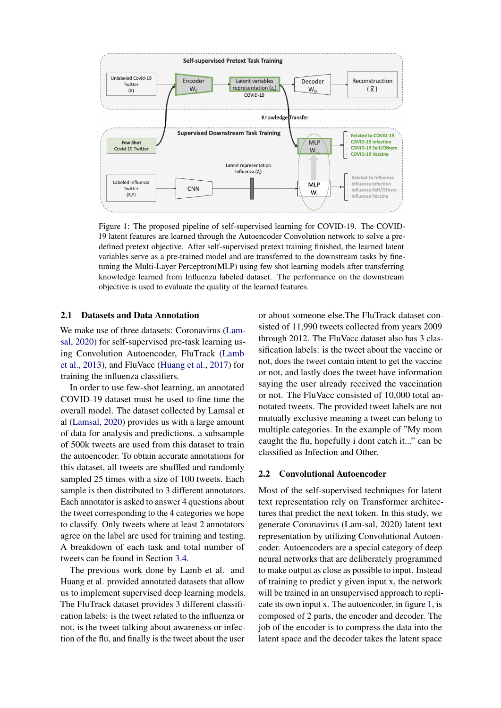<span id="page-2-0"></span>

Figure 1: The proposed pipeline of self-supervised learning for COVID-19. The COVID-19 latent features are learned through the Autoencoder Convolution network to solve a predefined pretext objective. After self-supervised pretext training finished, the learned latent variables serve as a pre-trained model and are transferred to the downstream tasks by finetuning the Multi-Layer Perceptron(MLP) using few shot learning models after transferring knowledge learned from Influenza labeled dataset. The performance on the downstream objective is used to evaluate the quality of the learned features.

#### <span id="page-2-1"></span>2.1 Datasets and Data Annotation

We make use of three datasets: Coronavirus [\(Lam](#page-7-7)[sal,](#page-7-7) [2020\)](#page-7-7) for self-supervised pre-task learning using Convolution Autoencoder, FluTrack [\(Lamb](#page-7-2) [et al.,](#page-7-2) [2013\)](#page-7-2), and FluVacc [\(Huang et al.,](#page-6-2) [2017\)](#page-6-2) for training the influenza classifiers.

In order to use few-shot learning, an annotated COVID-19 dataset must be used to fine tune the overall model. The dataset collected by Lamsal et al [\(Lamsal,](#page-7-7) [2020\)](#page-7-7) provides us with a large amount of data for analysis and predictions. a subsample of 500k tweets are used from this dataset to train the autoencoder. To obtain accurate annotations for this dataset, all tweets are shuffled and randomly sampled 25 times with a size of 100 tweets. Each sample is then distributed to 3 different annotators. Each annotator is asked to answer 4 questions about the tweet corresponding to the 4 categories we hope to classify. Only tweets where at least 2 annotators agree on the label are used for training and testing. A breakdown of each task and total number of tweets can be found in Section [3.4.](#page-5-0)

The previous work done by Lamb et al. and Huang et al. provided annotated datasets that allow us to implement supervised deep learning models. The FluTrack dataset provides 3 different classification labels: is the tweet related to the influenza or not, is the tweet talking about awareness or infection of the flu, and finally is the tweet about the user

or about someone else.The FluTrack dataset consisted of 11,990 tweets collected from years 2009 through 2012. The FluVacc dataset also has 3 classification labels: is the tweet about the vaccine or not, does the tweet contain intent to get the vaccine or not, and lastly does the tweet have information saying the user already received the vaccination or not. The FluVacc consisted of 10,000 total annotated tweets. The provided tweet labels are not mutually exclusive meaning a tweet can belong to multiple categories. In the example of "My mom caught the flu, hopefully i dont catch it..." can be classified as Infection and Other.

#### 2.2 Convolutional Autoencoder

Most of the self-supervised techniques for latent text representation rely on Transformer architectures that predict the next token. In this study, we generate Coronavirus (Lam-sal, 2020) latent text representation by utilizing Convolutional Autoencoder. Autoencoders are a special category of deep neural networks that are deliberately programmed to make output as close as possible to input. Instead of training to predict y given input x, the network will be trained in an unsupervised approach to replicate its own input x. The autoencoder, in figure [1,](#page-2-0) is composed of 2 parts, the encoder and decoder. The job of the encoder is to compress the data into the latent space and the decoder takes the latent space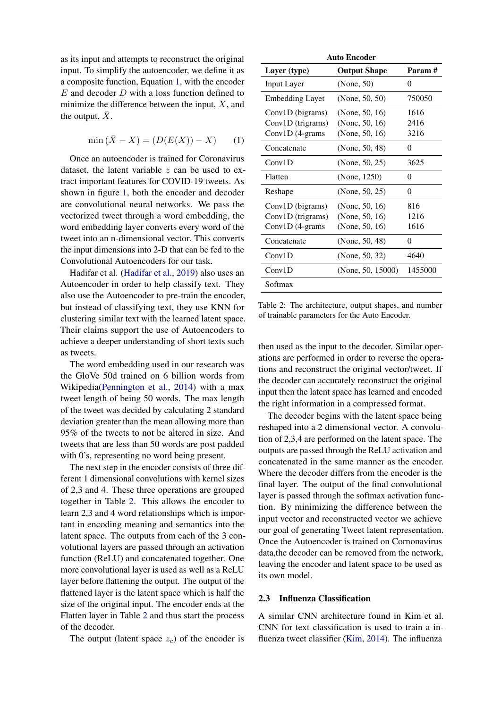as its input and attempts to reconstruct the original input. To simplify the autoencoder, we define it as a composite function, Equation [1,](#page-3-0) with the encoder  $E$  and decoder  $D$  with a loss function defined to minimize the difference between the input,  $X$ , and the output,  $\bar{X}$ .

<span id="page-3-0"></span>
$$
\min(\bar{X} - X) = (D(E(X)) - X) \tag{1}
$$

Once an autoencoder is trained for Coronavirus dataset, the latent variable  $z$  can be used to extract important features for COVID-19 tweets. As shown in figure [1,](#page-2-0) both the encoder and decoder are convolutional neural networks. We pass the vectorized tweet through a word embedding, the word embedding layer converts every word of the tweet into an n-dimensional vector. This converts the input dimensions into 2-D that can be fed to the Convolutional Autoencoders for our task.

Hadifar et al. [\(Hadifar et al.,](#page-6-6) [2019\)](#page-6-6) also uses an Autoencoder in order to help classify text. They also use the Autoencoder to pre-train the encoder, but instead of classifying text, they use KNN for clustering similar text with the learned latent space. Their claims support the use of Autoencoders to achieve a deeper understanding of short texts such as tweets.

The word embedding used in our research was the GloVe 50d trained on 6 billion words from Wikipedia[\(Pennington et al.,](#page-7-9) [2014\)](#page-7-9) with a max tweet length of being 50 words. The max length of the tweet was decided by calculating 2 standard deviation greater than the mean allowing more than 95% of the tweets to not be altered in size. And tweets that are less than 50 words are post padded with 0's, representing no word being present.

The next step in the encoder consists of three different 1 dimensional convolutions with kernel sizes of 2,3 and 4. These three operations are grouped together in Table [2.](#page-3-1) This allows the encoder to learn 2,3 and 4 word relationships which is important in encoding meaning and semantics into the latent space. The outputs from each of the 3 convolutional layers are passed through an activation function (ReLU) and concatenated together. One more convolutional layer is used as well as a ReLU layer before flattening the output. The output of the flattened layer is the latent space which is half the size of the original input. The encoder ends at the Flatten layer in Table [2](#page-3-1) and thus start the process of the decoder.

The output (latent space  $z_c$ ) of the encoder is

<span id="page-3-1"></span>

| <b>Auto Encoder</b>    |                     |         |  |  |  |
|------------------------|---------------------|---------|--|--|--|
| Layer (type)           | <b>Output Shape</b> | Param#  |  |  |  |
| <b>Input Layer</b>     | (None, 50)          | 0       |  |  |  |
| <b>Embedding Layet</b> | (None, $50, 50$ )   | 750050  |  |  |  |
| Conv1D (bigrams)       | (None, 50, 16)      | 1616    |  |  |  |
| $Conv1D$ (trigrams)    | (None, 50, 16)      | 2416    |  |  |  |
| Conv1D (4-grams        | (None, 50, 16)      | 3216    |  |  |  |
| Concatenate            | (None, 50, 48)      | 0       |  |  |  |
| Conv1D                 | (None, 50, 25)      | 3625    |  |  |  |
| Flatten                | (None, 1250)        | 0       |  |  |  |
| Reshape                | (None, $50, 25$ )   | 0       |  |  |  |
| Conv1D (bigrams)       | (None, 50, 16)      | 816     |  |  |  |
| Conv1D (trigrams)      | (None, 50, 16)      | 1216    |  |  |  |
| Conv1D (4-grams        | (None, 50, 16)      | 1616    |  |  |  |
| Concatenate            | (None, 50, 48)      | 0       |  |  |  |
| Conv1D                 | (None, 50, 32)      | 4640    |  |  |  |
| Conv1D                 | (None, 50, 15000)   | 1455000 |  |  |  |
| Softmax                |                     |         |  |  |  |
|                        |                     |         |  |  |  |

Table 2: The architecture, output shapes, and number of trainable parameters for the Auto Encoder.

then used as the input to the decoder. Similar operations are performed in order to reverse the operations and reconstruct the original vector/tweet. If the decoder can accurately reconstruct the original input then the latent space has learned and encoded the right information in a compressed format.

The decoder begins with the latent space being reshaped into a 2 dimensional vector. A convolution of 2,3,4 are performed on the latent space. The outputs are passed through the ReLU activation and concatenated in the same manner as the encoder. Where the decoder differs from the encoder is the final layer. The output of the final convolutional layer is passed through the softmax activation function. By minimizing the difference between the input vector and reconstructed vector we achieve our goal of generating Tweet latent representation. Once the Autoencoder is trained on Cornonavirus data,the decoder can be removed from the network, leaving the encoder and latent space to be used as its own model.

#### 2.3 Influenza Classification

A similar CNN architecture found in Kim et al. CNN for text classification is used to train a influenza tweet classifier [\(Kim,](#page-7-10) [2014\)](#page-7-10). The influenza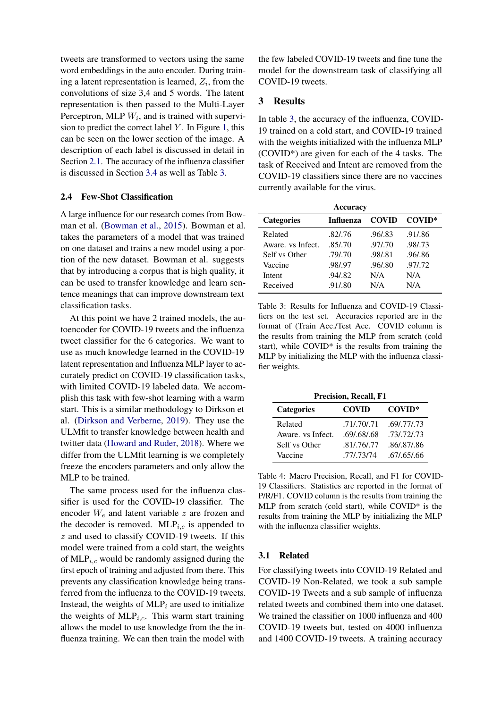tweets are transformed to vectors using the same word embeddings in the auto encoder. During training a latent representation is learned,  $Z_i$ , from the convolutions of size 3,4 and 5 words. The latent representation is then passed to the Multi-Layer Perceptron, MLP  $W_i$ , and is trained with supervision to predict the correct label  $Y$ . In Figure [1,](#page-2-0) this can be seen on the lower section of the image. A description of each label is discussed in detail in Section [2.1.](#page-2-1) The accuracy of the influenza classifier is discussed in Section [3.4](#page-5-0) as well as Table [3.](#page-4-0)

# 2.4 Few-Shot Classification

A large influence for our research comes from Bowman et al. [\(Bowman et al.,](#page-6-7) [2015\)](#page-6-7). Bowman et al. takes the parameters of a model that was trained on one dataset and trains a new model using a portion of the new dataset. Bowman et al. suggests that by introducing a corpus that is high quality, it can be used to transfer knowledge and learn sentence meanings that can improve downstream text classification tasks.

At this point we have 2 trained models, the autoencoder for COVID-19 tweets and the influenza tweet classifier for the 6 categories. We want to use as much knowledge learned in the COVID-19 latent representation and Influenza MLP layer to accurately predict on COVID-19 classification tasks, with limited COVID-19 labeled data. We accomplish this task with few-shot learning with a warm start. This is a similar methodology to Dirkson et al. [\(Dirkson and Verberne,](#page-6-8) [2019\)](#page-6-8). They use the ULMfit to transfer knowledge between health and twitter data [\(Howard and Ruder,](#page-6-9) [2018\)](#page-6-9). Where we differ from the ULMfit learning is we completely freeze the encoders parameters and only allow the MLP to be trained.

The same process used for the influenza classifier is used for the COVID-19 classifier. The encoder  $W_e$  and latent variable z are frozen and the decoder is removed.  $MLP_{i,c}$  is appended to  $z$  and used to classify COVID-19 tweets. If this model were trained from a cold start, the weights of  $MLP<sub>i,c</sub>$  would be randomly assigned during the first epoch of training and adjusted from there. This prevents any classification knowledge being transferred from the influenza to the COVID-19 tweets. Instead, the weights of  $MLP_i$  are used to initialize the weights of  $MLP_{i,c}$ . This warm start training allows the model to use knowledge from the the influenza training. We can then train the model with the few labeled COVID-19 tweets and fine tune the model for the downstream task of classifying all COVID-19 tweets.

# 3 Results

In table [3,](#page-4-0) the accuracy of the influenza, COVID-19 trained on a cold start, and COVID-19 trained with the weights initialized with the influenza MLP (COVID\*) are given for each of the 4 tasks. The task of Received and Intent are removed from the COVID-19 classifiers since there are no vaccines currently available for the virus.

<span id="page-4-0"></span>

| Accuracy          |           |              |          |  |  |  |
|-------------------|-----------|--------------|----------|--|--|--|
| <b>Categories</b> | Influenza | <b>COVID</b> | COVID*   |  |  |  |
| Related           | .82/.76   | .96/.83      | .91/.86  |  |  |  |
| Aware, vs Infect. | .85/.70   | .97/.70      | .98/.73  |  |  |  |
| Self vs Other     | .79/.70   | .98/.81      | .96/.86  |  |  |  |
| Vaccine           | .98/.97   | .96/.80      | .97/0.72 |  |  |  |
| Intent            | .94/.82   | N/A          | N/A      |  |  |  |
| Received          | .91/.80   | N/A          | N/A      |  |  |  |

Table 3: Results for Influenza and COVID-19 Classifiers on the test set. Accuracies reported are in the format of (Train Acc./Test Acc. COVID column is the results from training the MLP from scratch (cold start), while COVID\* is the results from training the MLP by initializing the MLP with the influenza classifier weights.

| <b>Precision, Recall, F1</b> |              |               |  |  |  |  |
|------------------------------|--------------|---------------|--|--|--|--|
| <b>Categories</b>            | <b>COVID</b> | COVID*        |  |  |  |  |
| Related                      | .71/.70/.71  | .69/.77/.73   |  |  |  |  |
| Aware, vs Infect.            | .69/.68/.68  | .73/.72/.73   |  |  |  |  |
| Self vs Other                | .81/.76/.77  | .86/.87/.86   |  |  |  |  |
| Vaccine                      | .771.73/74   | .67/0.65/0.66 |  |  |  |  |

Table 4: Macro Precision, Recall, and F1 for COVID-19 Classifiers. Statistics are reported in the format of P/R/F1. COVID column is the results from training the MLP from scratch (cold start), while COVID\* is the results from training the MLP by initializing the MLP with the influenza classifier weights.

#### 3.1 Related

For classifying tweets into COVID-19 Related and COVID-19 Non-Related, we took a sub sample COVID-19 Tweets and a sub sample of influenza related tweets and combined them into one dataset. We trained the classifier on 1000 influenza and 400 COVID-19 tweets but, tested on 4000 influenza and 1400 COVID-19 tweets. A training accuracy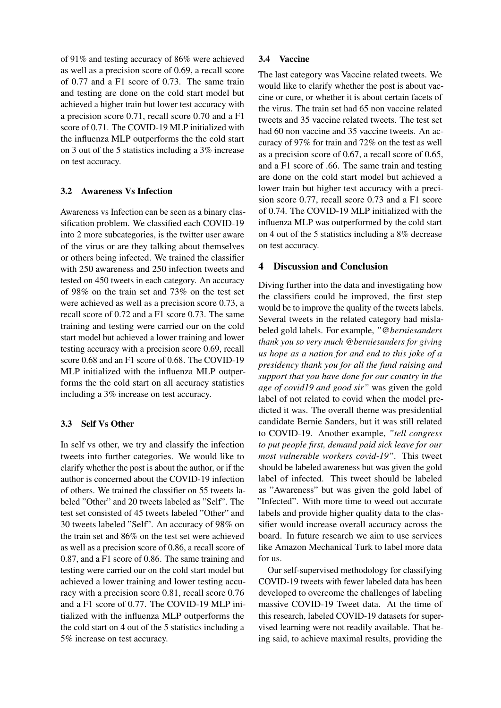of 91% and testing accuracy of 86% were achieved as well as a precision score of 0.69, a recall score of 0.77 and a F1 score of 0.73. The same train and testing are done on the cold start model but achieved a higher train but lower test accuracy with a precision score 0.71, recall score 0.70 and a F1 score of 0.71. The COVID-19 MLP initialized with the influenza MLP outperforms the the cold start on 3 out of the 5 statistics including a 3% increase on test accuracy.

# 3.2 Awareness Vs Infection

Awareness vs Infection can be seen as a binary classification problem. We classified each COVID-19 into 2 more subcategories, is the twitter user aware of the virus or are they talking about themselves or others being infected. We trained the classifier with 250 awareness and 250 infection tweets and tested on 450 tweets in each category. An accuracy of 98% on the train set and 73% on the test set were achieved as well as a precision score 0.73, a recall score of 0.72 and a F1 score 0.73. The same training and testing were carried our on the cold start model but achieved a lower training and lower testing accuracy with a precision score 0.69, recall score 0.68 and an F1 score of 0.68. The COVID-19 MLP initialized with the influenza MLP outperforms the the cold start on all accuracy statistics including a 3% increase on test accuracy.

## 3.3 Self Vs Other

In self vs other, we try and classify the infection tweets into further categories. We would like to clarify whether the post is about the author, or if the author is concerned about the COVID-19 infection of others. We trained the classifier on 55 tweets labeled "Other" and 20 tweets labeled as "Self". The test set consisted of 45 tweets labeled "Other" and 30 tweets labeled "Self". An accuracy of 98% on the train set and 86% on the test set were achieved as well as a precision score of 0.86, a recall score of 0.87, and a F1 score of 0.86. The same training and testing were carried our on the cold start model but achieved a lower training and lower testing accuracy with a precision score 0.81, recall score 0.76 and a F1 score of 0.77. The COVID-19 MLP initialized with the influenza MLP outperforms the the cold start on 4 out of the 5 statistics including a 5% increase on test accuracy.

# <span id="page-5-0"></span>3.4 Vaccine

The last category was Vaccine related tweets. We would like to clarify whether the post is about vaccine or cure, or whether it is about certain facets of the virus. The train set had 65 non vaccine related tweets and 35 vaccine related tweets. The test set had 60 non vaccine and 35 vaccine tweets. An accuracy of 97% for train and 72% on the test as well as a precision score of 0.67, a recall score of 0.65, and a F1 score of .66. The same train and testing are done on the cold start model but achieved a lower train but higher test accuracy with a precision score 0.77, recall score 0.73 and a F1 score of 0.74. The COVID-19 MLP initialized with the influenza MLP was outperformed by the cold start on 4 out of the 5 statistics including a 8% decrease on test accuracy.

## 4 Discussion and Conclusion

Diving further into the data and investigating how the classifiers could be improved, the first step would be to improve the quality of the tweets labels. Several tweets in the related category had mislabeled gold labels. For example, *"@berniesanders thank you so very much @berniesanders for giving us hope as a nation for and end to this joke of a presidency thank you for all the fund raising and support that you have done for our country in the age of covid19 and good sir"* was given the gold label of not related to covid when the model predicted it was. The overall theme was presidential candidate Bernie Sanders, but it was still related to COVID-19. Another example, *"tell congress to put people first, demand paid sick leave for our most vulnerable workers covid-19"*. This tweet should be labeled awareness but was given the gold label of infected. This tweet should be labeled as "Awareness" but was given the gold label of "Infected". With more time to weed out accurate labels and provide higher quality data to the classifier would increase overall accuracy across the board. In future research we aim to use services like Amazon Mechanical Turk to label more data for us.

Our self-supervised methodology for classifying COVID-19 tweets with fewer labeled data has been developed to overcome the challenges of labeling massive COVID-19 Tweet data. At the time of this research, labeled COVID-19 datasets for supervised learning were not readily available. That being said, to achieve maximal results, providing the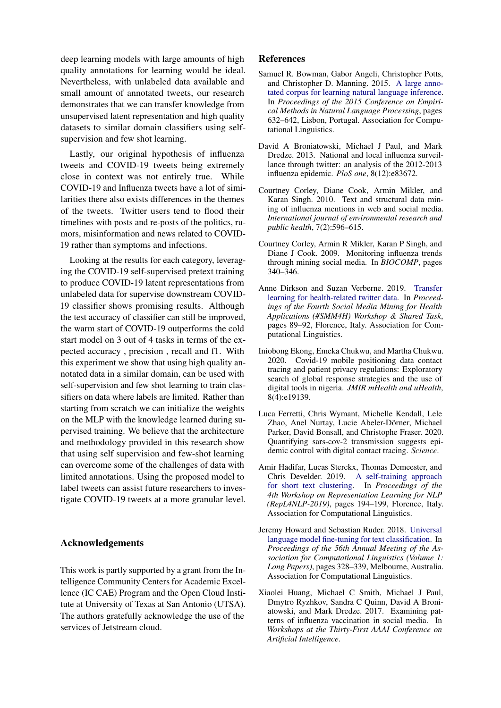deep learning models with large amounts of high quality annotations for learning would be ideal. Nevertheless, with unlabeled data available and small amount of annotated tweets, our research demonstrates that we can transfer knowledge from unsupervised latent representation and high quality datasets to similar domain classifiers using selfsupervision and few shot learning.

Lastly, our original hypothesis of influenza tweets and COVID-19 tweets being extremely close in context was not entirely true. While COVID-19 and Influenza tweets have a lot of similarities there also exists differences in the themes of the tweets. Twitter users tend to flood their timelines with posts and re-posts of the politics, rumors, misinformation and news related to COVID-19 rather than symptoms and infections.

Looking at the results for each category, leveraging the COVID-19 self-supervised pretext training to produce COVID-19 latent representations from unlabeled data for supervise downstream COVID-19 classifier shows promising results. Although the test accuracy of classifier can still be improved, the warm start of COVID-19 outperforms the cold start model on 3 out of 4 tasks in terms of the expected accuracy , precision , recall and f1. With this experiment we show that using high quality annotated data in a similar domain, can be used with self-supervision and few shot learning to train classifiers on data where labels are limited. Rather than starting from scratch we can initialize the weights on the MLP with the knowledge learned during supervised training. We believe that the architecture and methodology provided in this research show that using self supervision and few-shot learning can overcome some of the challenges of data with limited annotations. Using the proposed model to label tweets can assist future researchers to investigate COVID-19 tweets at a more granular level.

## Acknowledgements

This work is partly supported by a grant from the Intelligence Community Centers for Academic Excellence (IC CAE) Program and the Open Cloud Institute at University of Texas at San Antonio (UTSA). The authors gratefully acknowledge the use of the services of Jetstream cloud.

# References

- <span id="page-6-7"></span>Samuel R. Bowman, Gabor Angeli, Christopher Potts, and Christopher D. Manning. 2015. [A large anno](https://doi.org/10.18653/v1/D15-1075)[tated corpus for learning natural language inference.](https://doi.org/10.18653/v1/D15-1075) In *Proceedings of the 2015 Conference on Empirical Methods in Natural Language Processing*, pages 632–642, Lisbon, Portugal. Association for Computational Linguistics.
- <span id="page-6-5"></span>David A Broniatowski, Michael J Paul, and Mark Dredze. 2013. National and local influenza surveillance through twitter: an analysis of the 2012-2013 influenza epidemic. *PloS one*, 8(12):e83672.
- <span id="page-6-4"></span>Courtney Corley, Diane Cook, Armin Mikler, and Karan Singh. 2010. Text and structural data mining of influenza mentions in web and social media. *International journal of environmental research and public health*, 7(2):596–615.
- <span id="page-6-3"></span>Courtney Corley, Armin R Mikler, Karan P Singh, and Diane J Cook. 2009. Monitoring influenza trends through mining social media. In *BIOCOMP*, pages 340–346.
- <span id="page-6-8"></span>Anne Dirkson and Suzan Verberne. 2019. [Transfer](https://doi.org/10.18653/v1/W19-3212) [learning for health-related twitter data.](https://doi.org/10.18653/v1/W19-3212) In *Proceedings of the Fourth Social Media Mining for Health Applications (#SMM4H) Workshop & Shared Task*, pages 89–92, Florence, Italy. Association for Computational Linguistics.
- <span id="page-6-1"></span>Iniobong Ekong, Emeka Chukwu, and Martha Chukwu. 2020. Covid-19 mobile positioning data contact tracing and patient privacy regulations: Exploratory search of global response strategies and the use of digital tools in nigeria. *JMIR mHealth and uHealth*, 8(4):e19139.
- <span id="page-6-0"></span>Luca Ferretti, Chris Wymant, Michelle Kendall, Lele Zhao, Anel Nurtay, Lucie Abeler-Dörner, Michael Parker, David Bonsall, and Christophe Fraser. 2020. Quantifying sars-cov-2 transmission suggests epidemic control with digital contact tracing. *Science*.
- <span id="page-6-6"></span>Amir Hadifar, Lucas Sterckx, Thomas Demeester, and Chris Develder. 2019. [A self-training approach](https://doi.org/10.18653/v1/W19-4322) [for short text clustering.](https://doi.org/10.18653/v1/W19-4322) In *Proceedings of the 4th Workshop on Representation Learning for NLP (RepL4NLP-2019)*, pages 194–199, Florence, Italy. Association for Computational Linguistics.
- <span id="page-6-9"></span>Jeremy Howard and Sebastian Ruder. 2018. [Universal](https://doi.org/10.18653/v1/P18-1031) [language model fine-tuning for text classification.](https://doi.org/10.18653/v1/P18-1031) In *Proceedings of the 56th Annual Meeting of the Association for Computational Linguistics (Volume 1: Long Papers)*, pages 328–339, Melbourne, Australia. Association for Computational Linguistics.
- <span id="page-6-2"></span>Xiaolei Huang, Michael C Smith, Michael J Paul, Dmytro Ryzhkov, Sandra C Quinn, David A Broniatowski, and Mark Dredze. 2017. Examining patterns of influenza vaccination in social media. In *Workshops at the Thirty-First AAAI Conference on Artificial Intelligence*.